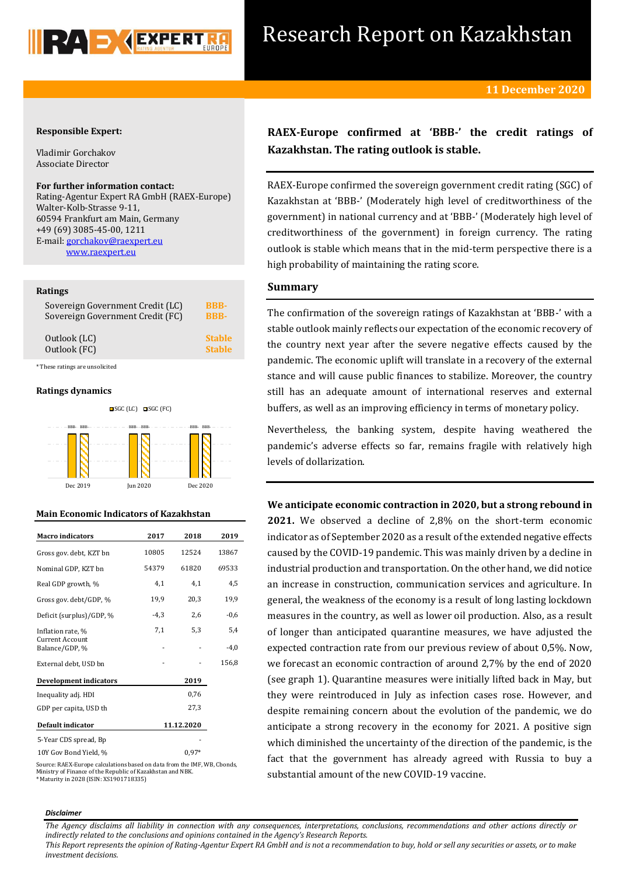

# Research Report on Kazakhstan

# **Responsible Expert:**

Vladimir Gorchakov Associate Director

## **For further information contact:**

Rating-Agentur Expert RA GmbH (RAEX-Europe) Walter-Kolb-Strasse 9-11, 60594 Frankfurt am Main, Germany +49 (69) 3085-45-00, 1211 E-mail[: gorchakov@raexpert.eu](mailto:gorchakov@raexpert.eu)  [www.raexpert.eu](http://raexpert.eu/)

## **Ratings**

| Sovereign Government Credit (LC) | <b>BBB-</b>   |
|----------------------------------|---------------|
| Sovereign Government Credit (FC) | <b>RRR-</b>   |
| Outlook (LC)                     | <b>Stable</b> |
| Outlook (FC)                     | <b>Stable</b> |
| * These ratings are unsolicited  |               |

# **Ratings dynamics**



# **Main Economic Indicators of Kazakhstan**

| <b>Macro</b> indicators                  | 2017       | 2018    | 2019   |
|------------------------------------------|------------|---------|--------|
| Gross gov. debt, KZT bn                  | 10805      | 12524   | 13867  |
| Nominal GDP, KZT bn                      | 54379      | 61820   | 69533  |
| Real GDP growth, %                       | 4,1        | 4,1     | 4,5    |
| Gross gov. debt/GDP, %                   | 19,9       | 20,3    | 19,9   |
| Deficit (surplus)/GDP, %                 | $-4,3$     | 2,6     | $-0,6$ |
| Inflation rate, %                        | 7,1        | 5,3     | 5,4    |
| <b>Current Account</b><br>Balance/GDP, % |            |         | $-4,0$ |
| External debt, USD bn                    |            |         | 156,8  |
| <b>Development indicators</b>            |            | 2019    |        |
| Inequality adj. HDI                      |            | 0,76    |        |
| GDP per capita, USD th                   |            | 27,3    |        |
| Default indicator                        | 11.12.2020 |         |        |
| 5-Year CDS spread, Bp                    |            |         |        |
| 10Y Gov Bond Yield, %                    |            | $0.97*$ |        |

Source: RAEX-Europe calculations based on data from the IMF, WB, Cbonds, Ministry of Finance of the Republic of Kazakhstan and NBK. \* Maturity in 2028 (ISIN: XS1901718335)

# **RAEX-Europe confirmed at 'BBB-' the credit ratings of Kazakhstan. The rating outlook is stable.**

RAEX-Europe confirmed the sovereign government credit rating (SGC) of Kazakhstan at 'BBB-' (Moderately high level of creditworthiness of the government) in national currency and at 'BBB-' (Moderately high level of creditworthiness of the government) in foreign currency. The rating outlook is stable which means that in the mid-term perspective there is a high probability of maintaining the rating score.

# **Summary**

The confirmation of the sovereign ratings of Kazakhstan at 'BBB-' with a stable outlook mainly reflects our expectation of the economic recovery of the country next year after the severe negative effects caused by the pandemic. The economic uplift will translate in a recovery of the external stance and will cause public finances to stabilize. Moreover, the country still has an adequate amount of international reserves and external buffers, as well as an improving efficiency in terms of monetary policy.

Nevertheless, the banking system, despite having weathered the pandemic's adverse effects so far, remains fragile with relatively high levels of dollarization.

# **We anticipate economic contraction in 2020, but a strong rebound in**

**2021.** We observed a decline of 2,8% on the short-term economic indicator as of September 2020 as a result of the extended negative effects caused by the COVID-19 pandemic. This was mainly driven by a decline in industrial production and transportation. On the other hand, we did notice an increase in construction, communication services and agriculture. In general, the weakness of the economy is a result of long lasting lockdown measures in the country, as well as lower oil production. Also, as a result of longer than anticipated quarantine measures, we have adjusted the expected contraction rate from our previous review of about 0,5%. Now, we forecast an economic contraction of around 2,7% by the end of 2020 (see graph 1). Quarantine measures were initially lifted back in May, but they were reintroduced in July as infection cases rose. However, and despite remaining concern about the evolution of the pandemic, we do anticipate a strong recovery in the economy for 2021. A positive sign which diminished the uncertainty of the direction of the pandemic, is the fact that the government has already agreed with Russia to buy a substantial amount of the new COVID-19 vaccine.

#### *Disclaimer*

*The Agency disclaims all liability in connection with any consequences, interpretations, conclusions, recommendations and other actions directly or indirectly related to the conclusions and opinions contained in the Agency's Research Reports.*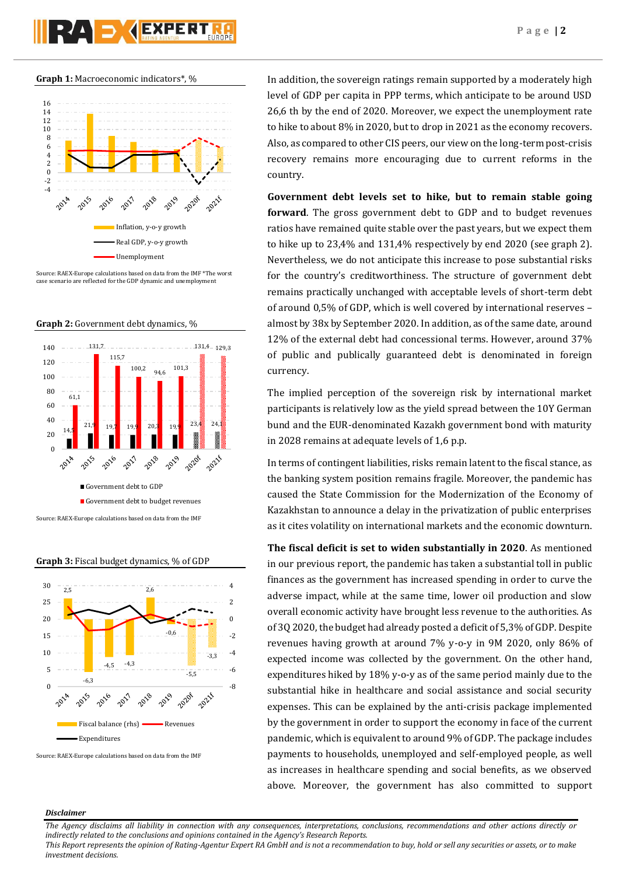



Source: RAEX-Europe calculations based on data from the IMF \*The worst case scenario are reflected for the GDP dynamic and unemployment









Source: RAEX-Europe calculations based on data from the IMF

In addition, the sovereign ratings remain supported by a moderately high level of GDP per capita in PPP terms, which anticipate to be around USD 26,6 th by the end of 2020. Moreover, we expect the unemployment rate to hike to about 8% in 2020, but to drop in 2021 as the economy recovers. Also, as compared to other CIS peers, our view on the long-term post-crisis recovery remains more encouraging due to current reforms in the country.

**Government debt levels set to hike, but to remain stable going forward**. The gross government debt to GDP and to budget revenues ratios have remained quite stable over the past years, but we expect them to hike up to 23,4% and 131,4% respectively by end 2020 (see graph 2). Nevertheless, we do not anticipate this increase to pose substantial risks for the country's creditworthiness. The structure of government debt remains practically unchanged with acceptable levels of short-term debt of around 0,5% of GDP, which is well covered by international reserves – almost by 38x by September 2020. In addition, as of the same date, around 12% of the external debt had concessional terms. However, around 37% of public and publically guaranteed debt is denominated in foreign currency.

The implied perception of the sovereign risk by international market participants is relatively low as the yield spread between the 10Y German bund and the EUR-denominated Kazakh government bond with maturity in 2028 remains at adequate levels of 1,6 p.p.

In terms of contingent liabilities, risks remain latent to the fiscal stance, as the banking system position remains fragile. Moreover, the pandemic has caused the State Commission for the Modernization of the Economy of Kazakhstan to announce a delay in the privatization of public enterprises as it cites volatility on international markets and the economic downturn.

**The fiscal deficit is set to widen substantially in 2020**. As mentioned in our previous report, the pandemic has taken a substantial toll in public finances as the government has increased spending in order to curve the adverse impact, while at the same time, lower oil production and slow overall economic activity have brought less revenue to the authorities. As of 3Q 2020, the budget had already posted a deficit of 5,3% of GDP. Despite revenues having growth at around 7% y-o-y in 9M 2020, only 86% of expected income was collected by the government. On the other hand, expenditures hiked by 18% y-o-y as of the same period mainly due to the substantial hike in healthcare and social assistance and social security expenses. This can be explained by the anti-crisis package implemented by the government in order to support the economy in face of the current pandemic, which is equivalent to around 9% of GDP. The package includes payments to households, unemployed and self-employed people, as well as increases in healthcare spending and social benefits, as we observed above. Moreover, the government has also committed to support

## *Disclaimer*

*The Agency disclaims all liability in connection with any consequences, interpretations, conclusions, recommendations and other actions directly or indirectly related to the conclusions and opinions contained in the Agency's Research Reports.*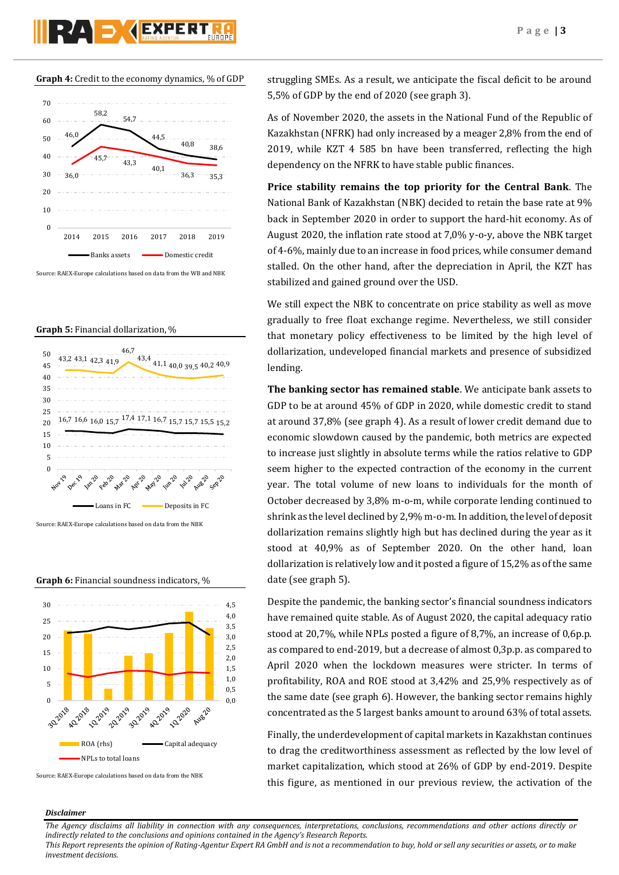# **Graph 4:** Credit to the economy dynamics, % of GDP

RAD GEXPERT



Source: RAEX-Europe calculations based on data from the WB and NBK

#### **Graph 5:** Financial dollarization, %



Source: RAEX-Europe calculations based on data from the NBK

**Graph 6:** Financial soundness indicators, %



Source: RAEX-Europe calculations based on data from the NBK

struggling SMEs. As a result, we anticipate the fiscal deficit to be around 5,5% of GDP by the end of 2020 (see graph 3).

As of November 2020, the assets in the National Fund of the Republic of Kazakhstan (NFRK) had only increased by a meager 2,8% from the end of 2019, while KZT 4 585 bn have been transferred, reflecting the high dependency on the NFRK to have stable public finances.

**Price stability remains the top priority for the Central Bank**. The National Bank of Kazakhstan (NBK) decided to retain the base rate at 9% back in September 2020 in order to support the hard-hit economy. As of August 2020, the inflation rate stood at 7,0% y-o-y, above the NBK target of 4-6%, mainly due to an increase in food prices, while consumer demand stalled. On the other hand, after the depreciation in April, the KZT has stabilized and gained ground over the USD.

We still expect the NBK to concentrate on price stability as well as move gradually to free float exchange regime. Nevertheless, we still consider that monetary policy effectiveness to be limited by the high level of dollarization, undeveloped financial markets and presence of subsidized lending.

**The banking sector has remained stable**. We anticipate bank assets to GDP to be at around 45% of GDP in 2020, while domestic credit to stand at around 37,8% (see graph 4). As a result of lower credit demand due to economic slowdown caused by the pandemic, both metrics are expected to increase just slightly in absolute terms while the ratios relative to GDP seem higher to the expected contraction of the economy in the current year. The total volume of new loans to individuals for the month of October decreased by 3,8% m-o-m, while corporate lending continued to shrink as the level declined by 2,9% m-o-m. In addition, the level of deposit dollarization remains slightly high but has declined during the year as it stood at 40,9% as of September 2020. On the other hand, loan dollarization is relatively low and it posted a figure of 15,2% as of the same date (see graph 5).

Despite the pandemic, the banking sector's financial soundness indicators have remained quite stable. As of August 2020, the capital adequacy ratio stood at 20,7%, while NPLs posted a figure of 8,7%, an increase of 0,6p.p. as compared to end-2019, but a decrease of almost 0,3p.p. as compared to April 2020 when the lockdown measures were stricter. In terms of profitability, ROA and ROE stood at 3,42% and 25,9% respectively as of the same date (see graph 6). However, the banking sector remains highly concentrated as the 5 largest banks amount to around 63% of total assets.

Finally, the underdevelopment of capital markets in Kazakhstan continues to drag the creditworthiness assessment as reflected by the low level of market capitalization, which stood at 26% of GDP by end-2019. Despite this figure, as mentioned in our previous review, the activation of the

## *Disclaimer*

*The Agency disclaims all liability in connection with any consequences, interpretations, conclusions, recommendations and other actions directly or indirectly related to the conclusions and opinions contained in the Agency's Research Reports.*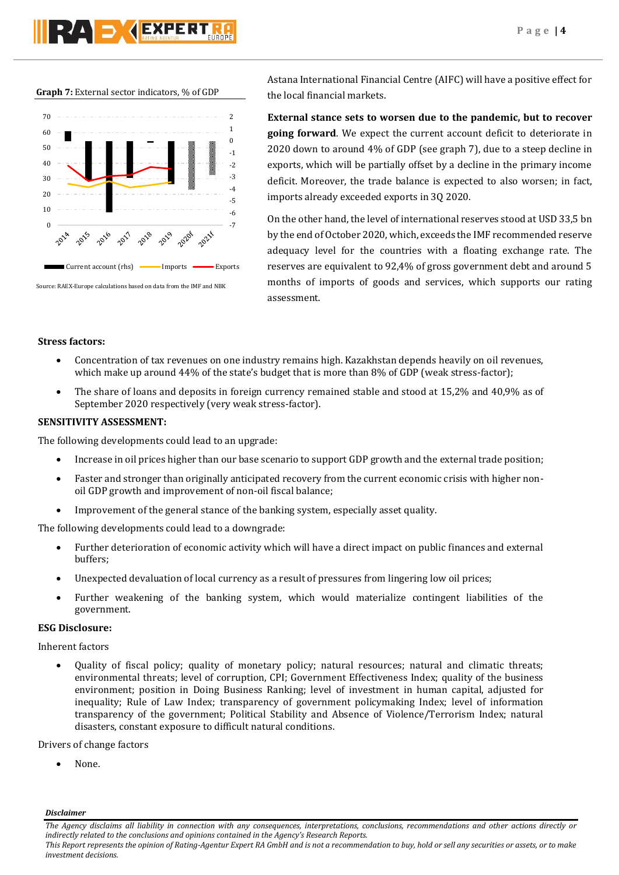**Graph 7:** External sector indicators, % of GDP



Source: RAEX-Europe calculations based on data from the IMF and NBK

Astana International Financial Centre (AIFC) will have a positive effect for the local financial markets.

**External stance sets to worsen due to the pandemic, but to recover going forward**. We expect the current account deficit to deteriorate in 2020 down to around 4% of GDP (see graph 7), due to a steep decline in exports, which will be partially offset by a decline in the primary income deficit. Moreover, the trade balance is expected to also worsen; in fact, imports already exceeded exports in 3Q 2020.

On the other hand, the level of international reserves stood at USD 33,5 bn by the end of October 2020, which, exceeds the IMF recommended reserve adequacy level for the countries with a floating exchange rate. The reserves are equivalent to 92,4% of gross government debt and around 5 months of imports of goods and services, which supports our rating assessment.

# **Stress factors:**

- Concentration of tax revenues on one industry remains high. Kazakhstan depends heavily on oil revenues, which make up around 44% of the state's budget that is more than 8% of GDP (weak stress-factor);
- The share of loans and deposits in foreign currency remained stable and stood at 15,2% and 40,9% as of September 2020 respectively (very weak stress-factor).

# **SENSITIVITY ASSESSMENT:**

The following developments could lead to an upgrade:

- Increase in oil prices higher than our base scenario to support GDP growth and the external trade position;
- Faster and stronger than originally anticipated recovery from the current economic crisis with higher nonoil GDP growth and improvement of non-oil fiscal balance;
- Improvement of the general stance of the banking system, especially asset quality.

The following developments could lead to a downgrade:

- Further deterioration of economic activity which will have a direct impact on public finances and external buffers;
- Unexpected devaluation of local currency as a result of pressures from lingering low oil prices;
- Further weakening of the banking system, which would materialize contingent liabilities of the government.

# **ESG Disclosure:**

Inherent factors

 Quality of fiscal policy; quality of monetary policy; natural resources; natural and climatic threats; environmental threats; level of corruption, CPI; Government Effectiveness Index; quality of the business environment; position in Doing Business Ranking; level of investment in human capital, adjusted for inequality; Rule of Law Index; transparency of government policymaking Index; level of information transparency of the government; Political Stability and Absence of Violence/Terrorism Index; natural disasters, constant exposure to difficult natural conditions.

Drivers of change factors

None.

*Disclaimer* 

*The Agency disclaims all liability in connection with any consequences, interpretations, conclusions, recommendations and other actions directly or indirectly related to the conclusions and opinions contained in the Agency's Research Reports.*

*This Report represents the opinion of Rating-Agentur Expert RA GmbH and is not a recommendation to buy, hold or sell any securities or assets, or to make investment decisions.*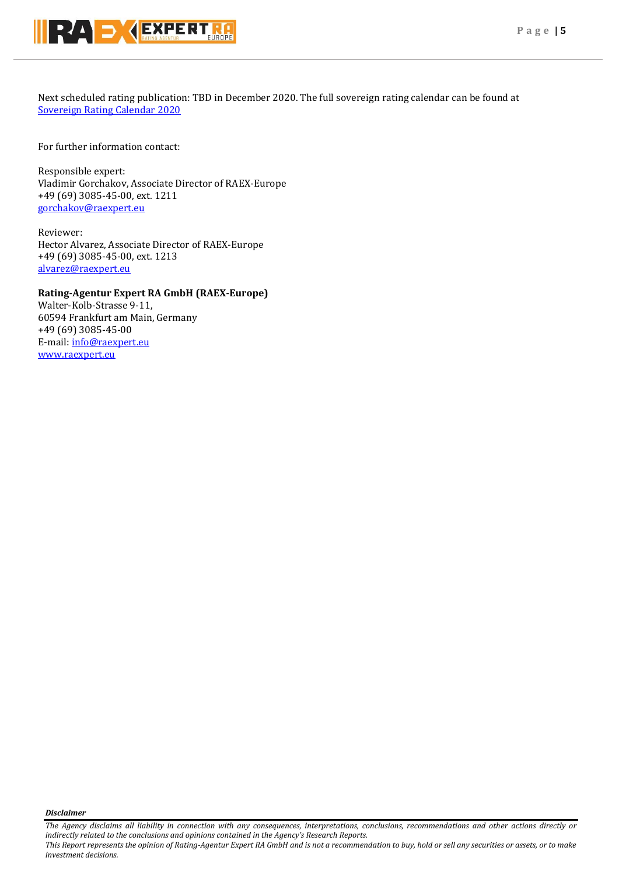

Next scheduled rating publication: TBD in December 2020. The full sovereign rating calendar can be found at [Sovereign Rating Calendar 2020](https://raexpert.eu/sovereign/#conf-tab-5)

For further information contact:

Responsible expert: Vladimir Gorchakov, Associate Director of RAEX-Europe +49 (69) 3085-45-00, ext. 1211 [gorchakov@raexpert.eu](mailto:gorchakov@raexpert.eu)

Reviewer: Hector Alvarez, Associate Director of RAEX-Europe +49 (69) 3085-45-00, ext. 1213 [alvarez@raexpert.eu](mailto:alvarez@raexpert.eu)

# **Rating-Agentur Expert RA GmbH (RAEX-Europe)**

Walter-Kolb-Strasse 9-11, 60594 Frankfurt am Main, Germany +49 (69) 3085-45-00 E-mail[: info@raexpert.eu](mailto:info@raexpert.eu) [www.raexpert.eu](http://raexpert.eu/)

*Disclaimer* 

*The Agency disclaims all liability in connection with any consequences, interpretations, conclusions, recommendations and other actions directly or indirectly related to the conclusions and opinions contained in the Agency's Research Reports.*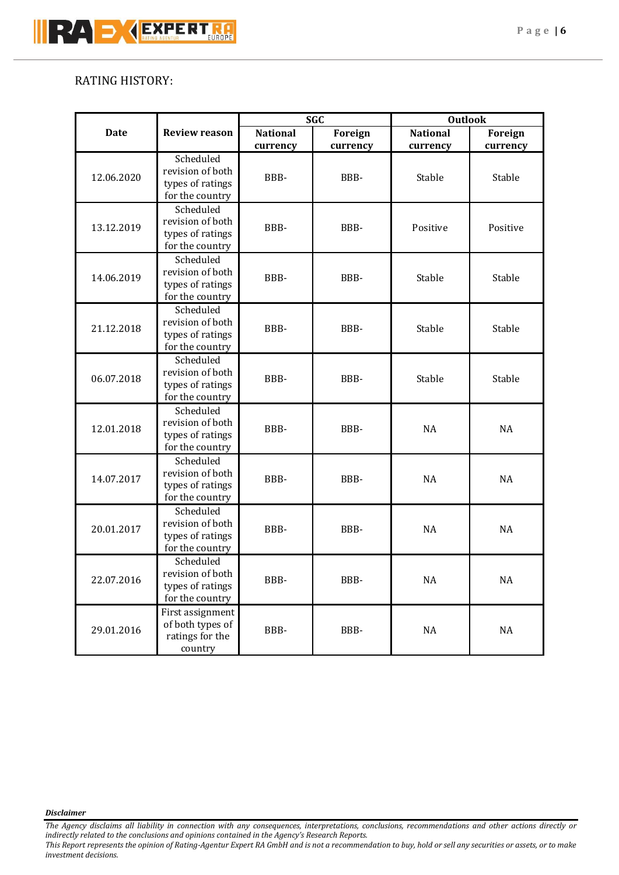# RATING HISTORY:

|             |                                                                      | <b>SGC</b>                  |                            | <b>Outlook</b>              |                     |
|-------------|----------------------------------------------------------------------|-----------------------------|----------------------------|-----------------------------|---------------------|
| <b>Date</b> | <b>Review reason</b>                                                 | <b>National</b><br>currency | <b>Foreign</b><br>currency | <b>National</b><br>currency | Foreign<br>currency |
| 12.06.2020  | Scheduled<br>revision of both<br>types of ratings<br>for the country | BBB-                        | BBB-                       | Stable                      | Stable              |
| 13.12.2019  | Scheduled<br>revision of both<br>types of ratings<br>for the country | BBB-                        | BBB-                       | Positive                    | Positive            |
| 14.06.2019  | Scheduled<br>revision of both<br>types of ratings<br>for the country | BBB-                        | BBB-                       | Stable                      | Stable              |
| 21.12.2018  | Scheduled<br>revision of both<br>types of ratings<br>for the country | BBB-                        | BBB-                       | Stable                      | Stable              |
| 06.07.2018  | Scheduled<br>revision of both<br>types of ratings<br>for the country | BBB-                        | BBB-                       | Stable                      | Stable              |
| 12.01.2018  | Scheduled<br>revision of both<br>types of ratings<br>for the country | BBB-                        | BBB-                       | <b>NA</b>                   | <b>NA</b>           |
| 14.07.2017  | Scheduled<br>revision of both<br>types of ratings<br>for the country | BBB-                        | BBB-                       | NA                          | <b>NA</b>           |
| 20.01.2017  | Scheduled<br>revision of both<br>types of ratings<br>for the country | BBB-                        | BBB-                       | <b>NA</b>                   | <b>NA</b>           |
| 22.07.2016  | Scheduled<br>revision of both<br>types of ratings<br>for the country | BBB-                        | BBB-                       | $\rm NA$                    | NA                  |
| 29.01.2016  | First assignment<br>of both types of<br>ratings for the<br>country   | BBB-                        | BBB-                       | $\rm NA$                    | NA                  |

*Disclaimer* 

*The Agency disclaims all liability in connection with any consequences, interpretations, conclusions, recommendations and other actions directly or indirectly related to the conclusions and opinions contained in the Agency's Research Reports.*